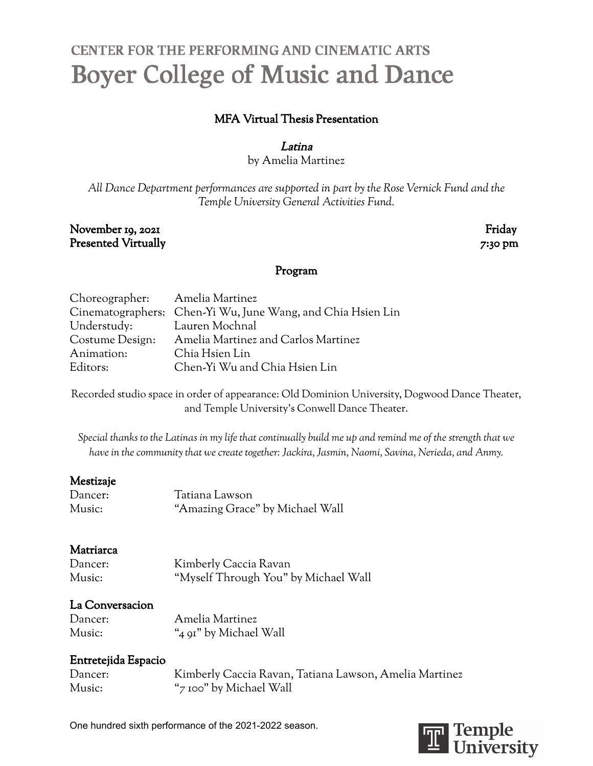# CENTER FOR THE PERFORMING AND CINEMATIC ARTS **Boyer College of Music and Dance**

# MFA Virtual Thesis Presentation

#### Latina

by Amelia Martinez

*All Dance Department performances are supported in part by the Rose Vernick Fund and the Temple University General Activities Fund.*

#### November 19, 2021 Friday Presented Virtually 7:30 pm

#### Program

| Choreographer: Amelia Martinez |                                                             |
|--------------------------------|-------------------------------------------------------------|
|                                | Cinematographers: Chen-Yi Wu, June Wang, and Chia Hsien Lin |
| Understudy: Lauren Mochnal     |                                                             |
| Costume Design:                | Amelia Martinez and Carlos Martinez                         |
| Animation:                     | Chia Hsien Lin                                              |
| Editors:                       | Chen-Yi Wu and Chia Hsien Lin                               |

Recorded studio space in order of appearance: Old Dominion University, Dogwood Dance Theater, and Temple University's Conwell Dance Theater.

Special thanks to the Latinas in my life that continually build me up and remind me of the strength that we *have in the community that we create together: Jackira, Jasmin, Naomi, Savina, Nerieda, and Anmy.*

## Mestizaje

| Dancer: | Tatiana Lawson                  |
|---------|---------------------------------|
| Music:  | "Amazing Grace" by Michael Wall |

## Matriarca

| Dancer: | Kimberly Caccia Ravan                |
|---------|--------------------------------------|
| Music:  | "Myself Through You" by Michael Wall |

## La Conversacion

| Dancer: | Amelia Martinez        |
|---------|------------------------|
| Music:  | "4 91" by Michael Wall |

## Entretejida Espacio

| Dancer: | Kimberly Caccia Ravan, Tatiana Lawson, Amelia Martinez |
|---------|--------------------------------------------------------|
| Music:  | "7 100" by Michael Wall                                |

One hundred sixth performance of the 2021-2022 season.